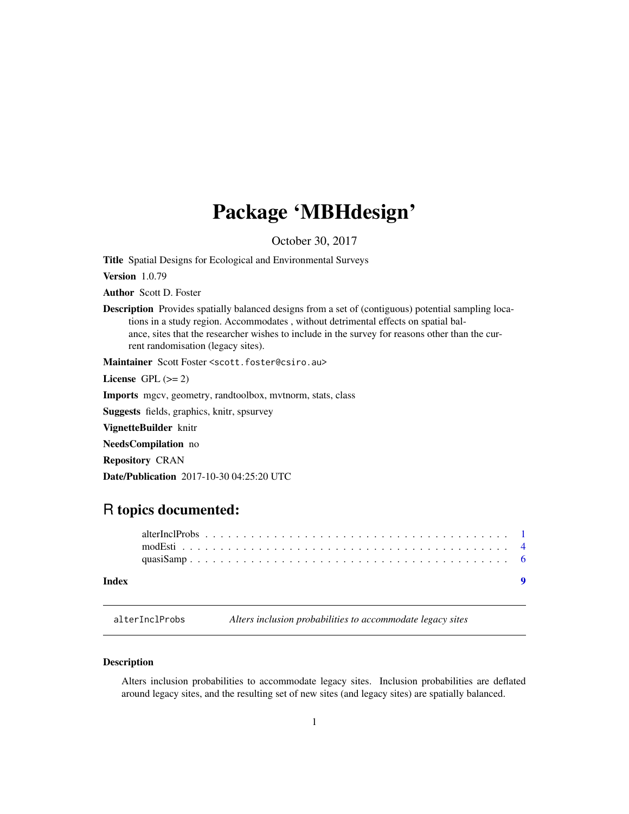## <span id="page-0-0"></span>Package 'MBHdesign'

October 30, 2017

Title Spatial Designs for Ecological and Environmental Surveys

Version 1.0.79

Author Scott D. Foster

Description Provides spatially balanced designs from a set of (contiguous) potential sampling locations in a study region. Accommodates , without detrimental effects on spatial balance, sites that the researcher wishes to include in the survey for reasons other than the current randomisation (legacy sites).

Maintainer Scott Foster <scott.foster@csiro.au>

License GPL  $(>= 2)$ 

Imports mgcv, geometry, randtoolbox, mvtnorm, stats, class

Suggests fields, graphics, knitr, spsurvey

VignetteBuilder knitr

NeedsCompilation no

Repository CRAN

Date/Publication 2017-10-30 04:25:20 UTC

### R topics documented:

#### **Index** [9](#page-8-0)

<span id="page-0-1"></span>alterInclProbs *Alters inclusion probabilities to accommodate legacy sites*

#### **Description**

Alters inclusion probabilities to accommodate legacy sites. Inclusion probabilities are deflated around legacy sites, and the resulting set of new sites (and legacy sites) are spatially balanced.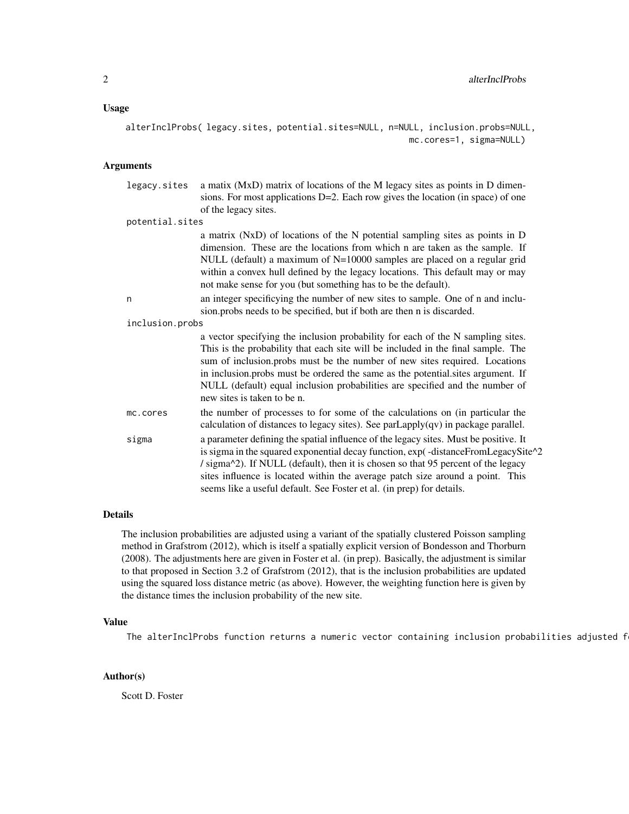#### Usage

alterInclProbs( legacy.sites, potential.sites=NULL, n=NULL, inclusion.probs=NULL, mc.cores=1, sigma=NULL)

#### Arguments

| legacy.sites    | a matix (MxD) matrix of locations of the M legacy sites as points in D dimen-<br>sions. For most applications D=2. Each row gives the location (in space) of one                                                                                                                                                                                                                                                                                    |
|-----------------|-----------------------------------------------------------------------------------------------------------------------------------------------------------------------------------------------------------------------------------------------------------------------------------------------------------------------------------------------------------------------------------------------------------------------------------------------------|
|                 | of the legacy sites.                                                                                                                                                                                                                                                                                                                                                                                                                                |
| potential.sites |                                                                                                                                                                                                                                                                                                                                                                                                                                                     |
|                 | a matrix (NxD) of locations of the N potential sampling sites as points in D<br>dimension. These are the locations from which n are taken as the sample. If<br>NULL (default) a maximum of N=10000 samples are placed on a regular grid<br>within a convex hull defined by the legacy locations. This default may or may<br>not make sense for you (but something has to be the default).                                                           |
| n               | an integer specificying the number of new sites to sample. One of n and inclu-<br>sion.probs needs to be specified, but if both are then n is discarded.                                                                                                                                                                                                                                                                                            |
| inclusion.probs |                                                                                                                                                                                                                                                                                                                                                                                                                                                     |
|                 | a vector specifying the inclusion probability for each of the N sampling sites.<br>This is the probability that each site will be included in the final sample. The<br>sum of inclusion.probs must be the number of new sites required. Locations<br>in inclusion.probs must be ordered the same as the potential sites argument. If<br>NULL (default) equal inclusion probabilities are specified and the number of<br>new sites is taken to be n. |
| mc.cores        | the number of processes to for some of the calculations on (in particular the<br>calculation of distances to legacy sites). See $parLapply(qv)$ in package parallel.                                                                                                                                                                                                                                                                                |
| sigma           | a parameter defining the spatial influence of the legacy sites. Must be positive. It<br>is sigma in the squared exponential decay function, exp(-distanceFromLegacySite^2<br>/ sigma^2). If NULL (default), then it is chosen so that 95 percent of the legacy<br>sites influence is located within the average patch size around a point. This<br>seems like a useful default. See Foster et al. (in prep) for details.                            |

#### Details

The inclusion probabilities are adjusted using a variant of the spatially clustered Poisson sampling method in Grafstrom (2012), which is itself a spatially explicit version of Bondesson and Thorburn (2008). The adjustments here are given in Foster et al. (in prep). Basically, the adjustment is similar to that proposed in Section 3.2 of Grafstrom (2012), that is the inclusion probabilities are updated using the squared loss distance metric (as above). However, the weighting function here is given by the distance times the inclusion probability of the new site.

#### Value

The alterInclProbs function returns a numeric vector containing inclusion probabilities adjusted f

#### Author(s)

Scott D. Foster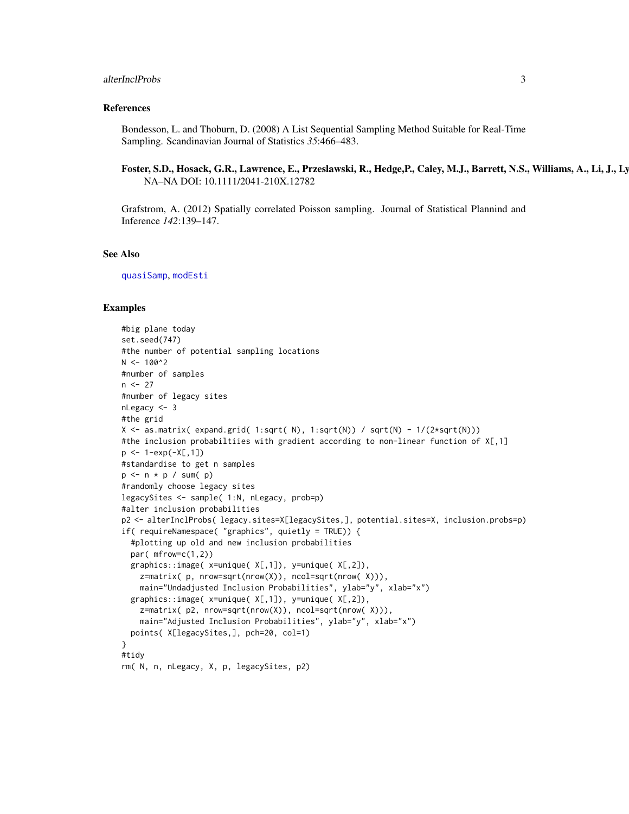#### <span id="page-2-0"></span>alterInclProbs 3

#### References

Bondesson, L. and Thoburn, D. (2008) A List Sequential Sampling Method Suitable for Real-Time Sampling. Scandinavian Journal of Statistics *35*:466–483.

#### Foster, S.D., Hosack, G.R., Lawrence, E., Przeslawski, R., Hedge,P., Caley, M.J., Barrett, N.S., Williams, A., Li, J., Ly NA–NA DOI: 10.1111/2041-210X.12782

Grafstrom, A. (2012) Spatially correlated Poisson sampling. Journal of Statistical Plannind and Inference *142*:139–147.

#### See Also

[quasiSamp](#page-5-1), [modEsti](#page-3-1)

#### Examples

```
#big plane today
set.seed(747)
#the number of potential sampling locations
N < -100^2#number of samples
n < -27#number of legacy sites
nLegacy <- 3
#the grid
X <- as.matrix( expand.grid( 1:sqrt( N), 1:sqrt(N)) / sqrt(N) - 1/(2*sqrt(N)))
#the inclusion probabiltiies with gradient according to non-linear function of X[,1]
p \le -1 - exp(-X[, 1])#standardise to get n samples
p \le -n * p / sum(p)#randomly choose legacy sites
legacySites <- sample( 1:N, nLegacy, prob=p)
#alter inclusion probabilities
p2 <- alterInclProbs( legacy.sites=X[legacySites,], potential.sites=X, inclusion.probs=p)
if( requireNamespace( "graphics", quietly = TRUE)) {
  #plotting up old and new inclusion probabilities
  par( mfrow=c(1,2))
  graphics::image( x=unique( X[,1]), y=unique( X[,2]),
    z=matrix( p, nrow=sqrt(nrow(X)), ncol=sqrt(nrow( X))),
    main="Undadjusted Inclusion Probabilities", ylab="y", xlab="x")
  graphics::image( x=unique( X[,1]), y=unique( X[,2]),
    z=matrix( p2, nrow=sqrt(nrow(X)), ncol=sqrt(nrow( X))),
    main="Adjusted Inclusion Probabilities", ylab="y", xlab="x")
  points( X[legacySites,], pch=20, col=1)
}
#tidy
rm( N, n, nLegacy, X, p, legacySites, p2)
```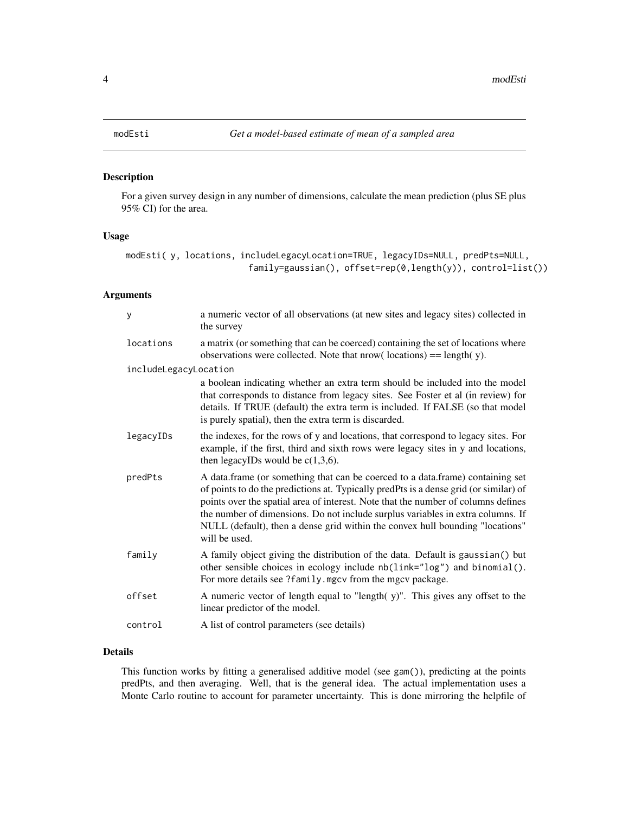<span id="page-3-1"></span><span id="page-3-0"></span>

#### Description

For a given survey design in any number of dimensions, calculate the mean prediction (plus SE plus 95% CI) for the area.

#### Usage

```
modEsti( y, locations, includeLegacyLocation=TRUE, legacyIDs=NULL, predPts=NULL,
                        family=gaussian(), offset=rep(0,length(y)), control=list())
```
#### Arguments

| y                     | a numeric vector of all observations (at new sites and legacy sites) collected in<br>the survey                                                                                                                                                                                                                                                                                                                                                   |
|-----------------------|---------------------------------------------------------------------------------------------------------------------------------------------------------------------------------------------------------------------------------------------------------------------------------------------------------------------------------------------------------------------------------------------------------------------------------------------------|
| locations             | a matrix (or something that can be coerced) containing the set of locations where<br>observations were collected. Note that nrow( $locations$ ) = length( $y$ ).                                                                                                                                                                                                                                                                                  |
| includeLegacyLocation |                                                                                                                                                                                                                                                                                                                                                                                                                                                   |
|                       | a boolean indicating whether an extra term should be included into the model<br>that corresponds to distance from legacy sites. See Foster et al (in review) for<br>details. If TRUE (default) the extra term is included. If FALSE (so that model<br>is purely spatial), then the extra term is discarded.                                                                                                                                       |
| legacyIDs             | the indexes, for the rows of y and locations, that correspond to legacy sites. For<br>example, if the first, third and sixth rows were legacy sites in y and locations,<br>then legacyIDs would be $c(1,3,6)$ .                                                                                                                                                                                                                                   |
| predPts               | A data.frame (or something that can be coerced to a data.frame) containing set<br>of points to do the predictions at. Typically predPts is a dense grid (or similar) of<br>points over the spatial area of interest. Note that the number of columns defines<br>the number of dimensions. Do not include surplus variables in extra columns. If<br>NULL (default), then a dense grid within the convex hull bounding "locations"<br>will be used. |
| family                | A family object giving the distribution of the data. Default is gaussian() but<br>other sensible choices in ecology include nb(link="log") and binomial().<br>For more details see ?family.mgcv from the mgcv package.                                                                                                                                                                                                                            |
| offset                | A numeric vector of length equal to "length(y)". This gives any offset to the<br>linear predictor of the model.                                                                                                                                                                                                                                                                                                                                   |
| control               | A list of control parameters (see details)                                                                                                                                                                                                                                                                                                                                                                                                        |
|                       |                                                                                                                                                                                                                                                                                                                                                                                                                                                   |

#### Details

This function works by fitting a generalised additive model (see gam()), predicting at the points predPts, and then averaging. Well, that is the general idea. The actual implementation uses a Monte Carlo routine to account for parameter uncertainty. This is done mirroring the helpfile of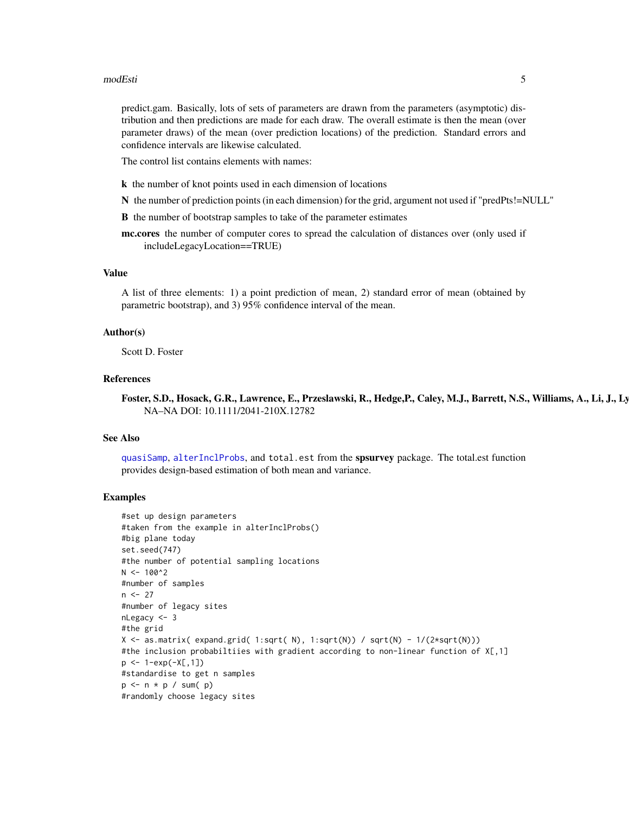#### <span id="page-4-0"></span>modEsti 5

predict.gam. Basically, lots of sets of parameters are drawn from the parameters (asymptotic) distribution and then predictions are made for each draw. The overall estimate is then the mean (over parameter draws) of the mean (over prediction locations) of the prediction. Standard errors and confidence intervals are likewise calculated.

The control list contains elements with names:

- k the number of knot points used in each dimension of locations
- N the number of prediction points (in each dimension) for the grid, argument not used if "predPts!=NULL"
- B the number of bootstrap samples to take of the parameter estimates

mc.cores the number of computer cores to spread the calculation of distances over (only used if includeLegacyLocation==TRUE)

#### Value

A list of three elements: 1) a point prediction of mean, 2) standard error of mean (obtained by parametric bootstrap), and 3) 95% confidence interval of the mean.

#### Author(s)

Scott D. Foster

#### References

Foster, S.D., Hosack, G.R., Lawrence, E., Przeslawski, R., Hedge,P., Caley, M.J., Barrett, N.S., Williams, A., Li, J., Ly NA–NA DOI: 10.1111/2041-210X.12782

#### See Also

[quasiSamp](#page-5-1), [alterInclProbs](#page-0-1), and total.est from the spsurvey package. The total.est function provides design-based estimation of both mean and variance.

#### Examples

```
#set up design parameters
#taken from the example in alterInclProbs()
#big plane today
set.seed(747)
#the number of potential sampling locations
N < -100^2#number of samples
n < -27#number of legacy sites
nLegacy <- 3
#the grid
X \leq -as.matrix( expand.grid( 1:sqrt( N), 1:sqrt(N)) / sqrt(N) - 1/(2*sqrt(N)))
#the inclusion probabiltiies with gradient according to non-linear function of X[,1]
p \le -1 - exp(-X[, 1])#standardise to get n samples
p \le -n * p / sum(p)#randomly choose legacy sites
```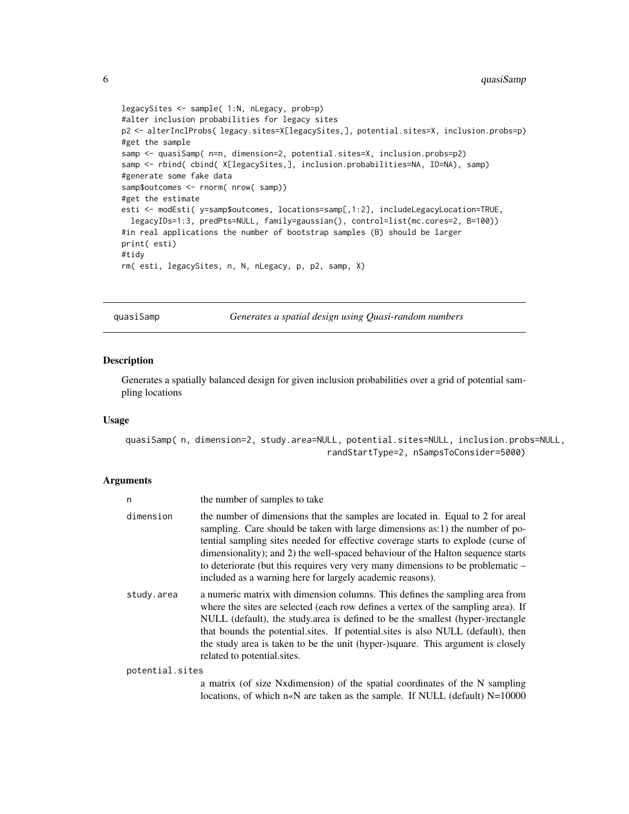```
legacySites <- sample( 1:N, nLegacy, prob=p)
#alter inclusion probabilities for legacy sites
p2 <- alterInclProbs( legacy.sites=X[legacySites,], potential.sites=X, inclusion.probs=p)
#get the sample
samp <- quasiSamp( n=n, dimension=2, potential.sites=X, inclusion.probs=p2)
samp <- rbind( cbind( X[legacySites,], inclusion.probabilities=NA, ID=NA), samp)
#generate some fake data
samp$outcomes <- rnorm( nrow( samp))
#get the estimate
esti <- modEsti( y=samp$outcomes, locations=samp[,1:2], includeLegacyLocation=TRUE,
 legacyIDs=1:3, predPts=NULL, family=gaussian(), control=list(mc.cores=2, B=100))
#in real applications the number of bootstrap samples (B) should be larger
print( esti)
#tidy
rm( esti, legacySites, n, N, nLegacy, p, p2, samp, X)
```
<span id="page-5-1"></span>quasiSamp *Generates a spatial design using Quasi-random numbers*

#### Description

Generates a spatially balanced design for given inclusion probabilities over a grid of potential sampling locations

#### Usage

quasiSamp( n, dimension=2, study.area=NULL, potential.sites=NULL, inclusion.probs=NULL, randStartType=2, nSampsToConsider=5000)

#### Arguments

| n               | the number of samples to take                                                                                                                                                                                                                                                                                                                                                                                                                                                         |
|-----------------|---------------------------------------------------------------------------------------------------------------------------------------------------------------------------------------------------------------------------------------------------------------------------------------------------------------------------------------------------------------------------------------------------------------------------------------------------------------------------------------|
| dimension       | the number of dimensions that the samples are located in. Equal to 2 for areal<br>sampling. Care should be taken with large dimensions as:1) the number of po-<br>tential sampling sites needed for effective coverage starts to explode (curse of<br>dimensionality); and 2) the well-spaced behaviour of the Halton sequence starts<br>to deteriorate (but this requires very very many dimensions to be problematic –<br>included as a warning here for largely academic reasons). |
| study.area      | a numeric matrix with dimension columns. This defines the sampling area from<br>where the sites are selected (each row defines a vertex of the sampling area). If<br>NULL (default), the study area is defined to be the smallest (hyper-)rectangle<br>that bounds the potential sites. If potential sites is also NULL (default), then<br>the study area is taken to be the unit (hyper-)square. This argument is closely<br>related to potential sites.                             |
| potential.sites |                                                                                                                                                                                                                                                                                                                                                                                                                                                                                       |
|                 |                                                                                                                                                                                                                                                                                                                                                                                                                                                                                       |

a matrix (of size Nxdimension) of the spatial coordinates of the N sampling locations, of which n«N are taken as the sample. If NULL (default) N=10000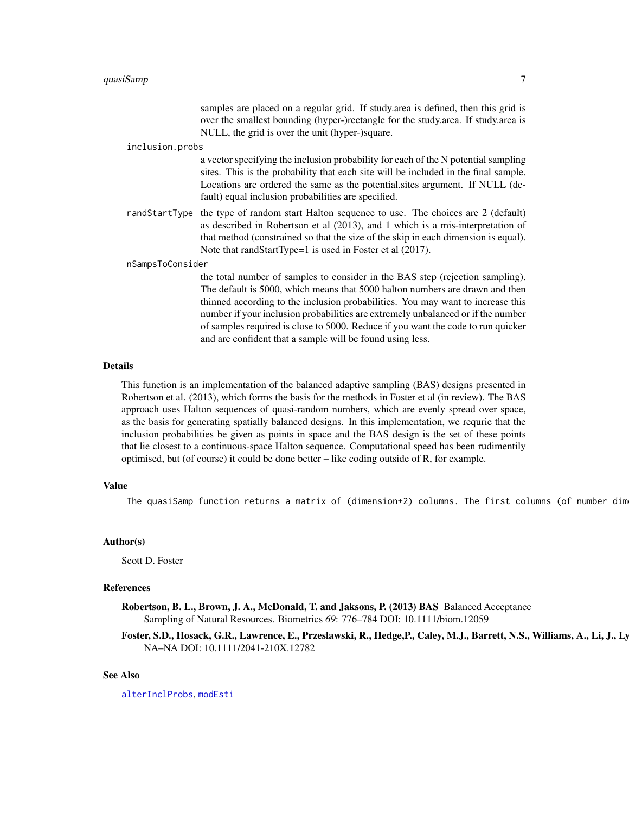#### <span id="page-6-0"></span> $quasi$ Samp $\qquad \qquad \qquad \qquad$

samples are placed on a regular grid. If study.area is defined, then this grid is over the smallest bounding (hyper-)rectangle for the study.area. If study.area is NULL, the grid is over the unit (hyper-)square.

#### inclusion.probs

a vector specifying the inclusion probability for each of the N potential sampling sites. This is the probability that each site will be included in the final sample. Locations are ordered the same as the potential.sites argument. If NULL (default) equal inclusion probabilities are specified.

randStartType the type of random start Halton sequence to use. The choices are 2 (default) as described in Robertson et al (2013), and 1 which is a mis-interpretation of that method (constrained so that the size of the skip in each dimension is equal). Note that randStartType=1 is used in Foster et al (2017).

nSampsToConsider

the total number of samples to consider in the BAS step (rejection sampling). The default is 5000, which means that 5000 halton numbers are drawn and then thinned according to the inclusion probabilities. You may want to increase this number if your inclusion probabilities are extremely unbalanced or if the number of samples required is close to 5000. Reduce if you want the code to run quicker and are confident that a sample will be found using less.

#### Details

This function is an implementation of the balanced adaptive sampling (BAS) designs presented in Robertson et al. (2013), which forms the basis for the methods in Foster et al (in review). The BAS approach uses Halton sequences of quasi-random numbers, which are evenly spread over space, as the basis for generating spatially balanced designs. In this implementation, we requrie that the inclusion probabilities be given as points in space and the BAS design is the set of these points that lie closest to a continuous-space Halton sequence. Computational speed has been rudimentily optimised, but (of course) it could be done better – like coding outside of R, for example.

#### Value

The quasiSamp function returns a matrix of (dimension+2) columns. The first columns (of number dim

#### Author(s)

Scott D. Foster

#### References

Robertson, B. L., Brown, J. A., McDonald, T. and Jaksons, P. (2013) BAS Balanced Acceptance Sampling of Natural Resources. Biometrics *69*: 776–784 DOI: 10.1111/biom.12059

#### Foster, S.D., Hosack, G.R., Lawrence, E., Przeslawski, R., Hedge,P., Caley, M.J., Barrett, N.S., Williams, A., Li, J., Ly NA–NA DOI: 10.1111/2041-210X.12782

#### See Also

[alterInclProbs](#page-0-1), [modEsti](#page-3-1)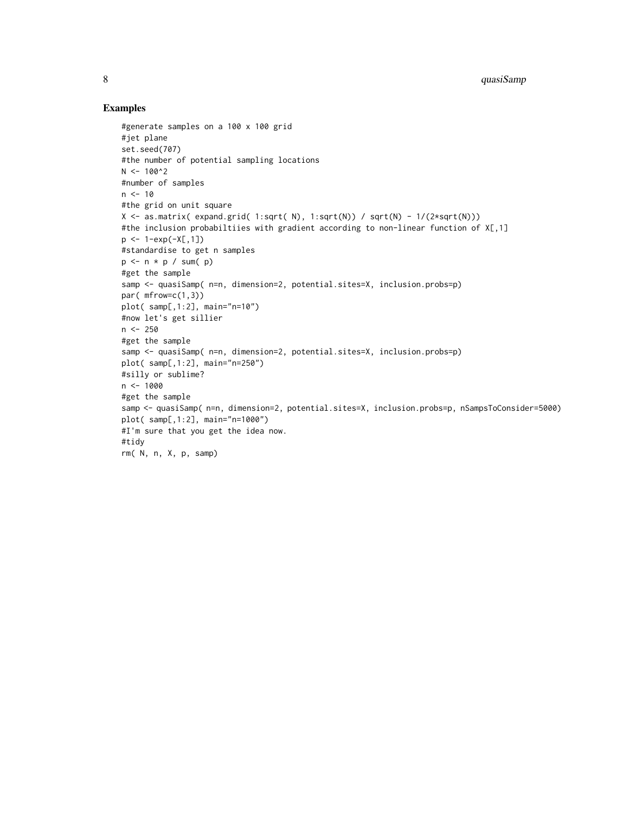#### Examples

```
#generate samples on a 100 x 100 grid
#jet plane
set.seed(707)
#the number of potential sampling locations
N < -100^2#number of samples
n < -10#the grid on unit square
X \leq -as.matrix( expand.grid( 1:sqrt( N), 1:sqrt(N)) / sqrt(N) - 1/(2*sqrt(N)))
#the inclusion probabiltiies with gradient according to non-linear function of X[,1]
p \leftarrow 1 - exp(-X[, 1])#standardise to get n samples
p \leftarrow n * p / sum(p)#get the sample
samp <- quasiSamp( n=n, dimension=2, potential.sites=X, inclusion.probs=p)
par(mfrow=c(1,3))
plot( samp[,1:2], main="n=10")
#now let's get sillier
n < -250#get the sample
samp <- quasiSamp( n=n, dimension=2, potential.sites=X, inclusion.probs=p)
plot( samp[,1:2], main="n=250")
#silly or sublime?
n < -1000#get the sample
samp <- quasiSamp( n=n, dimension=2, potential.sites=X, inclusion.probs=p, nSampsToConsider=5000)
plot( samp[,1:2], main="n=1000")
#I'm sure that you get the idea now.
#tidy
rm( N, n, X, p, samp)
```